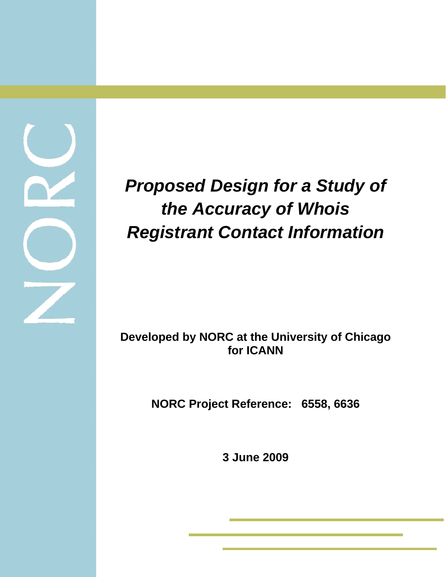# *Proposed Design for a Study of the Accuracy of Whois Registrant Contact Information*

**Developed by NORC at the University of Chicago for ICANN** 

**NORC Project Reference: 6558, 6636** 

**3 June 2009** 

í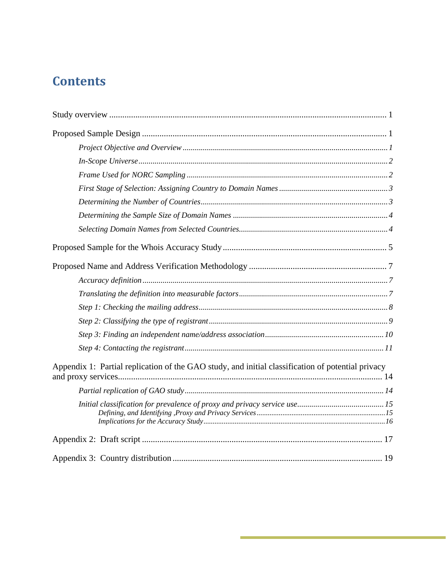## **Contents**

| Appendix 1: Partial replication of the GAO study, and initial classification of potential privacy |
|---------------------------------------------------------------------------------------------------|
|                                                                                                   |
|                                                                                                   |
|                                                                                                   |
|                                                                                                   |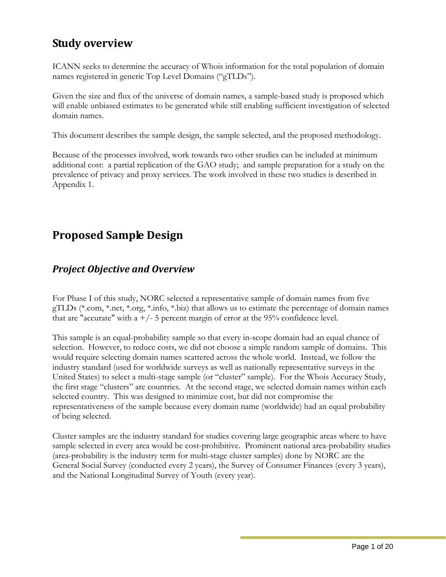## <span id="page-2-0"></span>**Study overview**

ICANN seeks to determine the accuracy of Whois information for the total population of domain names registered in generic Top Level Domains ("gTLDs").

Given the size and flux of the universe of domain names, a sample-based study is proposed which will enable unbiased estimates to be generated while still enabling sufficient investigation of selected domain names.

This document describes the sample design, the sample selected, and the proposed methodology.

Because of the processes involved, work towards two other studies can be included at minimum additional cost: a partial replication of the GAO study; and sample preparation for a study on the prevalence of privacy and proxy services. The work involved in these two studies is described in Appendix 1.

## **Proposed Sample Design**

### *Project Objective and Overview*

For Phase I of this study, NORC selected a representative sample of domain names from five gTLDs (\*.com, \*.net, \*.org, \*.info, \*.biz) that allows us to estimate the percentage of domain names that are "accurate" with a  $+/-$  5 percent margin of error at the 95% confidence level.

This sample is an equal-probability sample so that every in-scope domain had an equal chance of selection. However, to reduce costs, we did not choose a simple random sample of domains. This would require selecting domain names scattered across the whole world. Instead, we follow the industry standard (used for worldwide surveys as well as nationally representative surveys in the United States) to select a multi-stage sample (or "cluster" sample). For the Whois Accuracy Study, the first stage "clusters" are countries. At the second stage, we selected domain names within each selected country. This was designed to minimize cost, but did not compromise the representativeness of the sample because every domain name (worldwide) had an equal probability of being selected.

Cluster samples are the industry standard for studies covering large geographic areas where to have sample selected in every area would be cost-prohibitive. Prominent national area-probability studies (area-probability is the industry term for multi-stage cluster samples) done by NORC are the General Social Survey (conducted every 2 years), the Survey of Consumer Finances (every 3 years), and the National Longitudinal Survey of Youth (every year).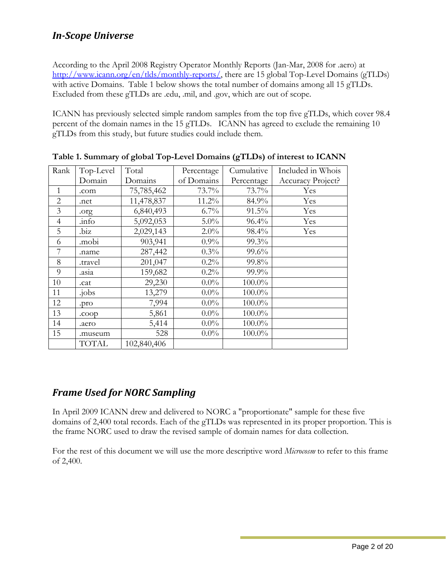## <span id="page-3-0"></span>*InScope Universe*

According to the April 2008 Registry Operator Monthly Reports (Jan-Mar, 2008 for .aero) at <http://www.icann.org/en/tlds/monthly-reports/>, there are 15 global Top-Level Domains (gTLDs) with active Domains. Table 1 below shows the total number of domains among all 15 gTLDs. Excluded from these gTLDs are .edu, .mil, and .gov, which are out of scope.

ICANN has previously selected simple random samples from the top five gTLDs, which cover 98.4 percent of the domain names in the 15 gTLDs. ICANN has agreed to exclude the remaining 10 gTLDs from this study, but future studies could include them.

| Rank           | Top-Level    | Total       | Percentage | Cumulative | Included in Whois |
|----------------|--------------|-------------|------------|------------|-------------------|
|                | Domain       | Domains     | of Domains | Percentage | Accuracy Project? |
| $\mathbf{1}$   | .com         | 75,785,462  | 73.7%      | 73.7%      | Yes               |
| $\overline{2}$ | .net         | 11,478,837  | 11.2%      | 84.9%      | Yes               |
| 3              | .org         | 6,840,493   | 6.7%       | 91.5%      | Yes               |
| $\overline{4}$ | .info        | 5,092,053   | $5.0\%$    | 96.4%      | Yes               |
| 5              | .biz         | 2,029,143   | 2.0%       | 98.4%      | Yes               |
| 6              | .mobi        | 903,941     | 0.9%       | 99.3%      |                   |
| 7              | .name        | 287,442     | 0.3%       | 99.6%      |                   |
| 8              | .travel      | 201,047     | $0.2\%$    | 99.8%      |                   |
| 9              | .asia        | 159,682     | $0.2\%$    | 99.9%      |                   |
| 10             | .cat         | 29,230      | $0.0\%$    | $100.0\%$  |                   |
| 11             | .jobs        | 13,279      | $0.0\%$    | $100.0\%$  |                   |
| 12             | .pro         | 7,994       | $0.0\%$    | $100.0\%$  |                   |
| 13             | .coop        | 5,861       | $0.0\%$    | $100.0\%$  |                   |
| 14             | .aero        | 5,414       | $0.0\%$    | $100.0\%$  |                   |
| 15             | .museum      | 528         | $0.0\%$    | 100.0%     |                   |
|                | <b>TOTAL</b> | 102,840,406 |            |            |                   |

**Table 1. Summary of global Top-Level Domains (gTLDs) of interest to ICANN** 

## *Frame Used for NORC Sampling*

In April 2009 ICANN drew and delivered to NORC a "proportionate" sample for these five domains of 2,400 total records. Each of the gTLDs was represented in its proper proportion. This is the frame NORC used to draw the revised sample of domain names for data collection.

For the rest of this document we will use the more descriptive word *Microcosm* to refer to this frame of 2,400.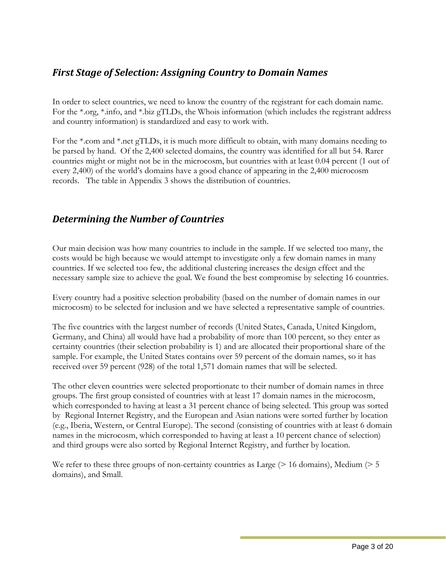### <span id="page-4-0"></span>*First Stage of Selection: Assigning Country to Domain Names*

In order to select countries, we need to know the country of the registrant for each domain name. For the \*.org, \*.info, and \*.biz gTLDs, the Whois information (which includes the registrant address and country information) is standardized and easy to work with.

For the \*.com and \*.net gTLDs, it is much more difficult to obtain, with many domains needing to be parsed by hand. Of the 2,400 selected domains, the country was identified for all but 54. Rarer countries might or might not be in the microcosm, but countries with at least 0.04 percent (1 out of every 2,400) of the world's domains have a good chance of appearing in the 2,400 microcosm records. The table in Appendix 3 shows the distribution of countries.

## *Determining the Number of Countries*

Our main decision was how many countries to include in the sample. If we selected too many, the costs would be high because we would attempt to investigate only a few domain names in many countries. If we selected too few, the additional clustering increases the design effect and the necessary sample size to achieve the goal. We found the best compromise by selecting 16 countries.

Every country had a positive selection probability (based on the number of domain names in our microcosm) to be selected for inclusion and we have selected a representative sample of countries.

The five countries with the largest number of records (United States, Canada, United Kingdom, Germany, and China) all would have had a probability of more than 100 percent, so they enter as certainty countries (their selection probability is 1) and are allocated their proportional share of the sample. For example, the United States contains over 59 percent of the domain names, so it has received over 59 percent (928) of the total 1,571 domain names that will be selected.

The other eleven countries were selected proportionate to their number of domain names in three groups. The first group consisted of countries with at least 17 domain names in the microcosm, which corresponded to having at least a 31 percent chance of being selected. This group was sorted by Regional Internet Registry, and the European and Asian nations were sorted further by location (e.g., Iberia, Western, or Central Europe). The second (consisting of countries with at least 6 domain names in the microcosm, which corresponded to having at least a 10 percent chance of selection) and third groups were also sorted by Regional Internet Registry, and further by location.

We refer to these three groups of non-certainty countries as Large ( $> 16$  domains), Medium ( $> 5$ domains), and Small.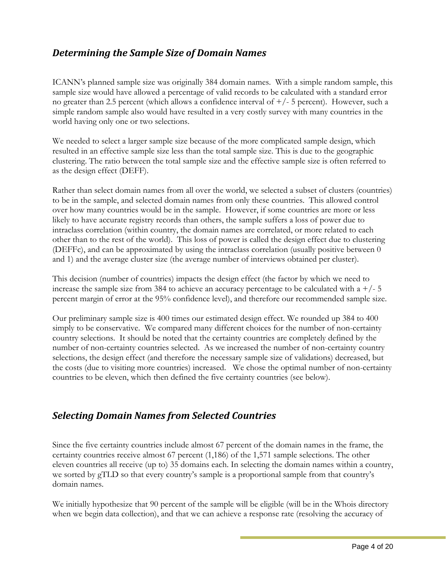### <span id="page-5-0"></span>*Determining the Sample Size of Domain Names*

ICANN's planned sample size was originally 384 domain names. With a simple random sample, this sample size would have allowed a percentage of valid records to be calculated with a standard error no greater than 2.5 percent (which allows a confidence interval of  $+/-$  5 percent). However, such a simple random sample also would have resulted in a very costly survey with many countries in the world having only one or two selections.

We needed to select a larger sample size because of the more complicated sample design, which resulted in an effective sample size less than the total sample size. This is due to the geographic clustering. The ratio between the total sample size and the effective sample size is often referred to as the design effect (DEFF).

Rather than select domain names from all over the world, we selected a subset of clusters (countries) to be in the sample, and selected domain names from only these countries. This allowed control over how many countries would be in the sample. However, if some countries are more or less likely to have accurate registry records than others, the sample suffers a loss of power due to intraclass correlation (within country, the domain names are correlated, or more related to each other than to the rest of the world). This loss of power is called the design effect due to clustering (DEFFc), and can be approximated by using the intraclass correlation (usually positive between 0 and 1) and the average cluster size (the average number of interviews obtained per cluster).

This decision (number of countries) impacts the design effect (the factor by which we need to increase the sample size from 384 to achieve an accuracy percentage to be calculated with a  $+/- 5$ percent margin of error at the 95% confidence level), and therefore our recommended sample size.

Our preliminary sample size is 400 times our estimated design effect. We rounded up 384 to 400 simply to be conservative. We compared many different choices for the number of non-certainty country selections. It should be noted that the certainty countries are completely defined by the number of non-certainty countries selected. As we increased the number of non-certainty country selections, the design effect (and therefore the necessary sample size of validations) decreased, but the costs (due to visiting more countries) increased. We chose the optimal number of non-certainty countries to be eleven, which then defined the five certainty countries (see below).

### *Selecting Domain Names from Selected Countries*

Since the five certainty countries include almost 67 percent of the domain names in the frame, the certainty countries receive almost 67 percent (1,186) of the 1,571 sample selections. The other eleven countries all receive (up to) 35 domains each. In selecting the domain names within a country, we sorted by gTLD so that every country's sample is a proportional sample from that country's domain names.

We initially hypothesize that 90 percent of the sample will be eligible (will be in the Whois directory when we begin data collection), and that we can achieve a response rate (resolving the accuracy of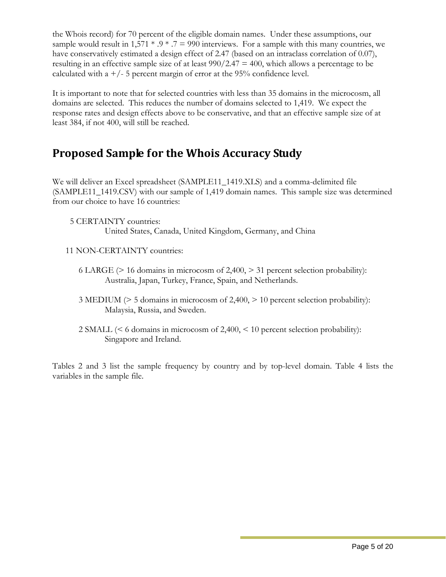<span id="page-6-0"></span>the Whois record) for 70 percent of the eligible domain names. Under these assumptions, our sample would result in  $1,571 * .9 * .7 = 990$  interviews. For a sample with this many countries, we have conservatively estimated a design effect of 2.47 (based on an intraclass correlation of 0.07), resulting in an effective sample size of at least  $990/2.47 = 400$ , which allows a percentage to be calculated with a  $+/-$  5 percent margin of error at the 95% confidence level.

It is important to note that for selected countries with less than 35 domains in the microcosm, all domains are selected. This reduces the number of domains selected to 1,419. We expect the response rates and design effects above to be conservative, and that an effective sample size of at least 384, if not 400, will still be reached.

## **Proposed Sample for the Whois Accuracy Study**

We will deliver an Excel spreadsheet (SAMPLE11\_1419.XLS) and a comma-delimited file (SAMPLE11\_1419.CSV) with our sample of 1,419 domain names. This sample size was determined from our choice to have 16 countries:

 5 CERTAINTY countries: United States, Canada, United Kingdom, Germany, and China

- 11 NON-CERTAINTY countries:
	- 6 LARGE ( $> 16$  domains in microcosm of 2,400,  $> 31$  percent selection probability): Australia, Japan, Turkey, France, Spain, and Netherlands.
	- 3 MEDIUM (> 5 domains in microcosm of 2,400, > 10 percent selection probability): Malaysia, Russia, and Sweden.
	- 2 SMALL (< 6 domains in microcosm of 2,400, < 10 percent selection probability): Singapore and Ireland.

Tables 2 and 3 list the sample frequency by country and by top-level domain. Table 4 lists the variables in the sample file.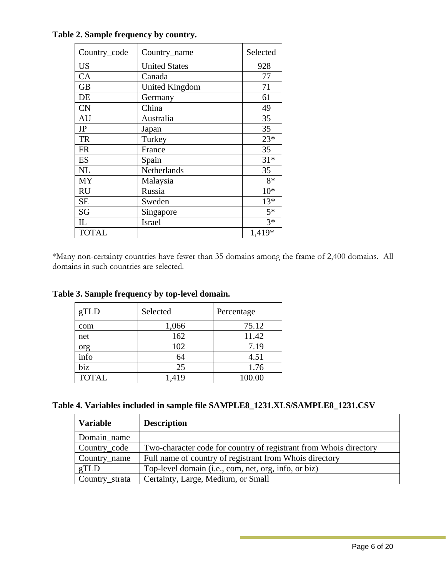| Country_code | Country_name          | Selected |
|--------------|-----------------------|----------|
| <b>US</b>    | <b>United States</b>  | 928      |
| CA           | Canada                | 77       |
| <b>GB</b>    | <b>United Kingdom</b> | 71       |
| DE           | Germany               | 61       |
| <b>CN</b>    | China                 | 49       |
| AU           | Australia             | 35       |
| JP           | Japan                 | 35       |
| <b>TR</b>    | Turkey                | $23*$    |
| <b>FR</b>    | France                | 35       |
| ES           | Spain                 | $31*$    |
| <b>NL</b>    | Netherlands           | 35       |
| MY           | Malaysia              | 8*       |
| <b>RU</b>    | Russia                | $10*$    |
| <b>SE</b>    | Sweden                | $13*$    |
| SG           | Singapore             | $5*$     |
| $_{\rm IL}$  | <b>Israel</b>         | $3*$     |
| <b>TOTAL</b> |                       | 1,419*   |

**Table 2. Sample frequency by country.** 

\*Many non-certainty countries have fewer than 35 domains among the frame of 2,400 domains. All domains in such countries are selected.

|  | Table 3. Sample frequency by top-level domain. |  |  |  |  |
|--|------------------------------------------------|--|--|--|--|
|--|------------------------------------------------|--|--|--|--|

| gTLD         | Selected | Percentage |
|--------------|----------|------------|
| com          | 1,066    | 75.12      |
| net          | 162      | 11.42      |
| org          | 102      | 7.19       |
| info         | 64       | 4.51       |
| biz          | 25       | 1.76       |
| <b>TOTAL</b> | 1,419    | 100.00     |

| Table 4. Variables included in sample file SAMPLE8_1231.XLS/SAMPLE8_1231.CSV |  |
|------------------------------------------------------------------------------|--|
|------------------------------------------------------------------------------|--|

| <b>Variable</b> | <b>Description</b>                                                |
|-----------------|-------------------------------------------------------------------|
| Domain_name     |                                                                   |
| Country_code    | Two-character code for country of registrant from Whois directory |
| Country_name    | Full name of country of registrant from Whois directory           |
| gTLD            | Top-level domain (i.e., com, net, org, info, or biz)              |
| Country_strata  | Certainty, Large, Medium, or Small                                |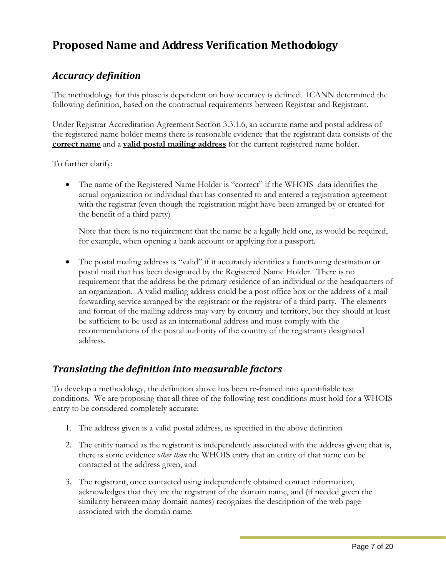## <span id="page-8-0"></span>**Proposed Name and Address Verification Methodology**

## *Accuracy definition*

The methodology for this phase is dependent on how accuracy is defined. ICANN determined the following definition, based on the contractual requirements between Registrar and Registrant.

Under Registrar Accreditation Agreement Section 3.3.1.6, an accurate name and postal address of the registered name holder means there is reasonable evidence that the registrant data consists of the **correct name** and a **valid postal mailing address** for the current registered name holder.

To further clarify:

• The name of the Registered Name Holder is "correct" if the WHOIS data identifies the actual organization or individual that has consented to and entered a registration agreement with the registrar (even though the registration might have been arranged by or created for the benefit of a third party)

Note that there is no requirement that the name be a legally held one, as would be required, for example, when opening a bank account or applying for a passport.

• The postal mailing address is "valid" if it accurately identifies a functioning destination or postal mail that has been designated by the Registered Name Holder. There is no requirement that the address be the primary residence of an individual or the headquarters of an organization. A valid mailing address could be a post office box or the address of a mail forwarding service arranged by the registrant or the registrar of a third party. The elements and format of the mailing address may vary by country and territory, but they should at least be sufficient to be used as an international address and must comply with the recommendations of the postal authority of the country of the registrants designated address.

### *Translating the definition into measurable factors*

To develop a methodology, the definition above has been re-framed into quantifiable test conditions. We are proposing that all three of the following test conditions must hold for a WHOIS entry to be considered completely accurate:

- 1. The address given is a valid postal address, as specified in the above definition
- 2. The entity named as the registrant is independently associated with the address given; that is, there is some evidence *other than* the WHOIS entry that an entity of that name can be contacted at the address given, and
- 3. The registrant, once contacted using independently obtained contact information, acknowledges that they are the registrant of the domain name, and (if needed given the similarity between many domain names) recognizes the description of the web page associated with the domain name.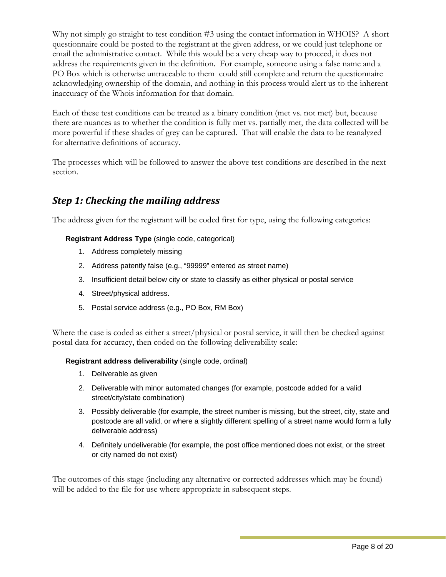<span id="page-9-0"></span>Why not simply go straight to test condition #3 using the contact information in WHOIS? A short questionnaire could be posted to the registrant at the given address, or we could just telephone or email the administrative contact. While this would be a very cheap way to proceed, it does not address the requirements given in the definition. For example, someone using a false name and a PO Box which is otherwise untraceable to them could still complete and return the questionnaire acknowledging ownership of the domain, and nothing in this process would alert us to the inherent inaccuracy of the Whois information for that domain.

Each of these test conditions can be treated as a binary condition (met vs. not met) but, because there are nuances as to whether the condition is fully met vs. partially met, the data collected will be more powerful if these shades of grey can be captured. That will enable the data to be reanalyzed for alternative definitions of accuracy.

The processes which will be followed to answer the above test conditions are described in the next section.

## *Step 1: Checking the mailing address*

The address given for the registrant will be coded first for type, using the following categories:

**Registrant Address Type** (single code, categorical)

- 1. Address completely missing
- 2. Address patently false (e.g., "99999" entered as street name)
- 3. Insufficient detail below city or state to classify as either physical or postal service
- 4. Street/physical address.
- 5. Postal service address (e.g., PO Box, RM Box)

Where the case is coded as either a street/physical or postal service, it will then be checked against postal data for accuracy, then coded on the following deliverability scale:

**Registrant address deliverability** (single code, ordinal)

- 1. Deliverable as given
- 2. Deliverable with minor automated changes (for example, postcode added for a valid street/city/state combination)
- 3. Possibly deliverable (for example, the street number is missing, but the street, city, state and postcode are all valid, or where a slightly different spelling of a street name would form a fully deliverable address)
- 4. Definitely undeliverable (for example, the post office mentioned does not exist, or the street or city named do not exist)

The outcomes of this stage (including any alternative or corrected addresses which may be found) will be added to the file for use where appropriate in subsequent steps.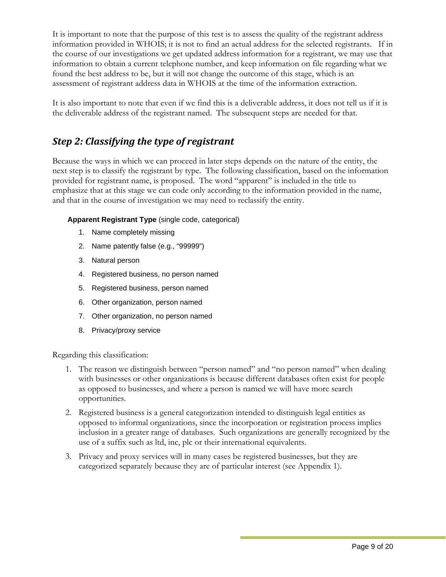<span id="page-10-0"></span>It is important to note that the purpose of this test is to assess the quality of the registrant address information provided in WHOIS; it is not to find an actual address for the selected registrants. If in the course of our investigations we get updated address information for a registrant, we may use that information to obtain a current telephone number, and keep information on file regarding what we found the best address to be, but it will not change the outcome of this stage, which is an assessment of registrant address data in WHOIS at the time of the information extraction.

It is also important to note that even if we find this is a deliverable address, it does not tell us if it is the deliverable address of the registrant named. The subsequent steps are needed for that.

## *Step 2: Classifying the type of registrant*

Because the ways in which we can proceed in later steps depends on the nature of the entity, the next step is to classify the registrant by type. The following classification, based on the information provided for registrant name, is proposed. The word "apparent" is included in the title to emphasize that at this stage we can code only according to the information provided in the name, and that in the course of investigation we may need to reclassify the entity.

#### **Apparent Registrant Type** (single code, categorical)

- 1. Name completely missing
- 2. Name patently false (e.g., "99999")
- 3. Natural person
- 4. Registered business, no person named
- 5. Registered business, person named
- 6. Other organization, person named
- 7. Other organization, no person named
- 8. Privacy/proxy service

Regarding this classification:

- 1. The reason we distinguish between "person named" and "no person named" when dealing with businesses or other organizations is because different databases often exist for people as opposed to businesses, and where a person is named we will have more search opportunities.
- 2. Registered business is a general categorization intended to distinguish legal entities as opposed to informal organizations, since the incorporation or registration process implies inclusion in a greater range of databases. Such organizations are generally recognized by the use of a suffix such as ltd, inc, plc or their international equivalents.
- 3. Privacy and proxy services will in many cases be registered businesses, but they are categorized separately because they are of particular interest (see Appendix 1).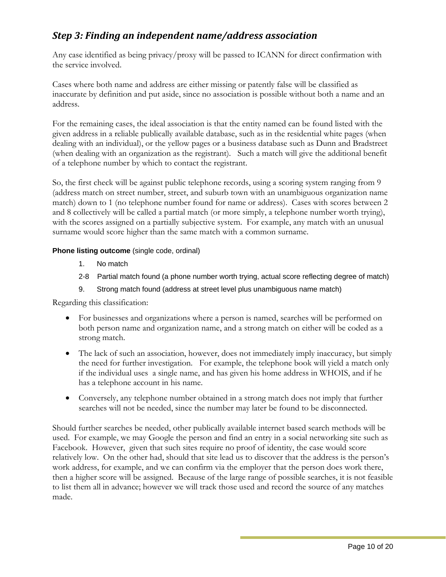## <span id="page-11-0"></span>*Step 3: Finding an independent name/address association*

Any case identified as being privacy/proxy will be passed to ICANN for direct confirmation with the service involved.

Cases where both name and address are either missing or patently false will be classified as inaccurate by definition and put aside, since no association is possible without both a name and an address.

For the remaining cases, the ideal association is that the entity named can be found listed with the given address in a reliable publically available database, such as in the residential white pages (when dealing with an individual), or the yellow pages or a business database such as Dunn and Bradstreet (when dealing with an organization as the registrant). Such a match will give the additional benefit of a telephone number by which to contact the registrant.

So, the first check will be against public telephone records, using a scoring system ranging from 9 (address match on street number, street, and suburb town with an unambiguous organization name match) down to 1 (no telephone number found for name or address). Cases with scores between 2 and 8 collectively will be called a partial match (or more simply, a telephone number worth trying), with the scores assigned on a partially subjective system. For example, any match with an unusual surname would score higher than the same match with a common surname.

#### **Phone listing outcome** (single code, ordinal)

- 1. No match
- 2-8 Partial match found (a phone number worth trying, actual score reflecting degree of match)
- 9. Strong match found (address at street level plus unambiguous name match)

Regarding this classification:

- For businesses and organizations where a person is named, searches will be performed on both person name and organization name, and a strong match on either will be coded as a strong match.
- The lack of such an association, however, does not immediately imply inaccuracy, but simply the need for further investigation. For example, the telephone book will yield a match only if the individual uses a single name, and has given his home address in WHOIS, and if he has a telephone account in his name.
- Conversely, any telephone number obtained in a strong match does not imply that further searches will not be needed, since the number may later be found to be disconnected.

Should further searches be needed, other publically available internet based search methods will be used. For example, we may Google the person and find an entry in a social networking site such as Facebook. However, given that such sites require no proof of identity, the case would score relatively low. On the other had, should that site lead us to discover that the address is the person's work address, for example, and we can confirm via the employer that the person does work there, then a higher score will be assigned. Because of the large range of possible searches, it is not feasible to list them all in advance; however we will track those used and record the source of any matches made.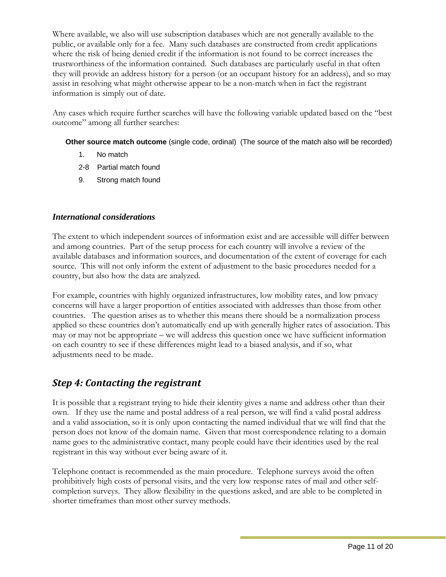<span id="page-12-0"></span>Where available, we also will use subscription databases which are not generally available to the public, or available only for a fee. Many such databases are constructed from credit applications where the risk of being denied credit if the information is not found to be correct increases the trustworthiness of the information contained. Such databases are particularly useful in that often they will provide an address history for a person (or an occupant history for an address), and so may assist in resolving what might otherwise appear to be a non-match when in fact the registrant information is simply out of date.

Any cases which require further searches will have the following variable updated based on the "best outcome" among all further searches:

**Other source match outcome** (single code, ordinal) (The source of the match also will be recorded)

- 1. No match
- 2-8 Partial match found
- 9. Strong match found

#### *International considerations*

The extent to which independent sources of information exist and are accessible will differ between and among countries. Part of the setup process for each country will involve a review of the available databases and information sources, and documentation of the extent of coverage for each source. This will not only inform the extent of adjustment to the basic procedures needed for a country, but also how the data are analyzed.

For example, countries with highly organized infrastructures, low mobility rates, and low privacy concerns will have a larger proportion of entities associated with addresses than those from other countries. The question arises as to whether this means there should be a normalization process applied so these countries don't automatically end up with generally higher rates of association. This may or may not be appropriate – we will address this question once we have sufficient information on each country to see if these differences might lead to a biased analysis, and if so, what adjustments need to be made.

## *Step 4: Contacting the registrant*

It is possible that a registrant trying to hide their identity gives a name and address other than their own. If they use the name and postal address of a real person, we will find a valid postal address and a valid association, so it is only upon contacting the named individual that we will find that the person does not know of the domain name. Given that most correspondence relating to a domain name goes to the administrative contact, many people could have their identities used by the real registrant in this way without ever being aware of it.

Telephone contact is recommended as the main procedure. Telephone surveys avoid the often prohibitively high costs of personal visits, and the very low response rates of mail and other selfcompletion surveys. They allow flexibility in the questions asked, and are able to be completed in shorter timeframes than most other survey methods.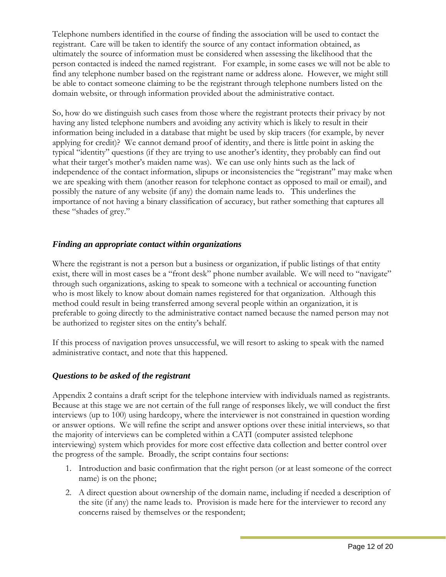Telephone numbers identified in the course of finding the association will be used to contact the registrant. Care will be taken to identify the source of any contact information obtained, as ultimately the source of information must be considered when assessing the likelihood that the person contacted is indeed the named registrant. For example, in some cases we will not be able to find any telephone number based on the registrant name or address alone. However, we might still be able to contact someone claiming to be the registrant through telephone numbers listed on the domain website, or through information provided about the administrative contact.

So, how do we distinguish such cases from those where the registrant protects their privacy by not having any listed telephone numbers and avoiding any activity which is likely to result in their information being included in a database that might be used by skip tracers (for example, by never applying for credit)? We cannot demand proof of identity, and there is little point in asking the typical "identity" questions (if they are trying to use another's identity, they probably can find out what their target's mother's maiden name was). We can use only hints such as the lack of independence of the contact information, slipups or inconsistencies the "registrant" may make when we are speaking with them (another reason for telephone contact as opposed to mail or email), and possibly the nature of any website (if any) the domain name leads to. This underlines the importance of not having a binary classification of accuracy, but rather something that captures all these "shades of grey."

#### *Finding an appropriate contact within organizations*

Where the registrant is not a person but a business or organization, if public listings of that entity exist, there will in most cases be a "front desk" phone number available. We will need to "navigate" through such organizations, asking to speak to someone with a technical or accounting function who is most likely to know about domain names registered for that organization. Although this method could result in being transferred among several people within an organization, it is preferable to going directly to the administrative contact named because the named person may not be authorized to register sites on the entity's behalf.

If this process of navigation proves unsuccessful, we will resort to asking to speak with the named administrative contact, and note that this happened.

#### *Questions to be asked of the registrant*

Appendix 2 contains a draft script for the telephone interview with individuals named as registrants. Because at this stage we are not certain of the full range of responses likely, we will conduct the first interviews (up to 100) using hardcopy, where the interviewer is not constrained in question wording or answer options. We will refine the script and answer options over these initial interviews, so that the majority of interviews can be completed within a CATI (computer assisted telephone interviewing) system which provides for more cost effective data collection and better control over the progress of the sample. Broadly, the script contains four sections:

- 1. Introduction and basic confirmation that the right person (or at least someone of the correct name) is on the phone;
- 2. A direct question about ownership of the domain name, including if needed a description of the site (if any) the name leads to. Provision is made here for the interviewer to record any concerns raised by themselves or the respondent;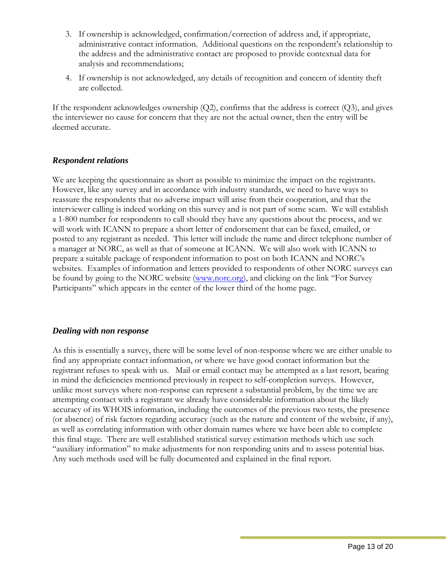- 3. If ownership is acknowledged, confirmation/correction of address and, if appropriate, administrative contact information. Additional questions on the respondent's relationship to the address and the administrative contact are proposed to provide contextual data for analysis and recommendations;
- 4. If ownership is not acknowledged, any details of recognition and concern of identity theft are collected.

If the respondent acknowledges ownership (Q2), confirms that the address is correct (Q3), and gives the interviewer no cause for concern that they are not the actual owner, then the entry will be deemed accurate.

#### *Respondent relations*

We are keeping the questionnaire as short as possible to minimize the impact on the registrants. However, like any survey and in accordance with industry standards, we need to have ways to reassure the respondents that no adverse impact will arise from their cooperation, and that the interviewer calling is indeed working on this survey and is not part of some scam. We will establish a 1-800 number for respondents to call should they have any questions about the process, and we will work with ICANN to prepare a short letter of endorsement that can be faxed, emailed, or posted to any registrant as needed. This letter will include the name and direct telephone number of a manager at NORC, as well as that of someone at ICANN. We will also work with ICANN to prepare a suitable package of respondent information to post on both ICANN and NORC's websites. Examples of information and letters provided to respondents of other NORC surveys can be found by going to the NORC website [\(www.norc.org](http://www.norc.org/)), and clicking on the link "For Survey Participants" which appears in the center of the lower third of the home page.

#### *Dealing with non response*

As this is essentially a survey, there will be some level of non-response where we are either unable to find any appropriate contact information, or where we have good contact information but the registrant refuses to speak with us. Mail or email contact may be attempted as a last resort, bearing in mind the deficiencies mentioned previously in respect to self-completion surveys. However, unlike most surveys where non-response can represent a substantial problem, by the time we are attempting contact with a registrant we already have considerable information about the likely accuracy of its WHOIS information, including the outcomes of the previous two tests, the presence (or absence) of risk factors regarding accuracy (such as the nature and content of the website, if any), as well as correlating information with other domain names where we have been able to complete this final stage. There are well established statistical survey estimation methods which use such "auxiliary information" to make adjustments for non responding units and to assess potential bias. Any such methods used will be fully documented and explained in the final report.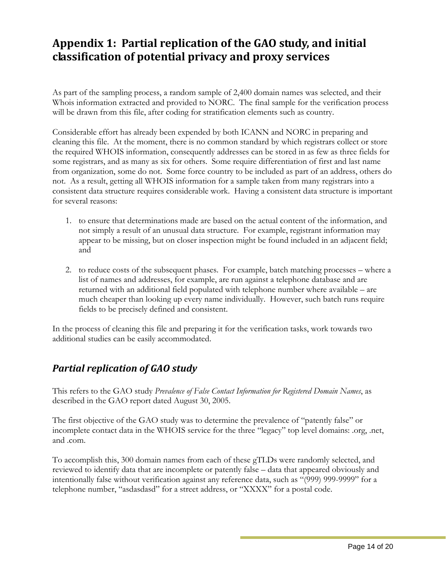## <span id="page-15-0"></span>**Appendix 1: Partial replication of the GAO study, and initial classification of potential privacy and proxy services**

As part of the sampling process, a random sample of 2,400 domain names was selected, and their Whois information extracted and provided to NORC. The final sample for the verification process will be drawn from this file, after coding for stratification elements such as country.

Considerable effort has already been expended by both ICANN and NORC in preparing and cleaning this file. At the moment, there is no common standard by which registrars collect or store the required WHOIS information, consequently addresses can be stored in as few as three fields for some registrars, and as many as six for others. Some require differentiation of first and last name from organization, some do not. Some force country to be included as part of an address, others do not. As a result, getting all WHOIS information for a sample taken from many registrars into a consistent data structure requires considerable work. Having a consistent data structure is important for several reasons:

- 1. to ensure that determinations made are based on the actual content of the information, and not simply a result of an unusual data structure. For example, registrant information may appear to be missing, but on closer inspection might be found included in an adjacent field; and
- 2. to reduce costs of the subsequent phases. For example, batch matching processes where a list of names and addresses, for example, are run against a telephone database and are returned with an additional field populated with telephone number where available – are much cheaper than looking up every name individually. However, such batch runs require fields to be precisely defined and consistent.

In the process of cleaning this file and preparing it for the verification tasks, work towards two additional studies can be easily accommodated.

## *Partial replication of GAO study*

This refers to the GAO study *Prevalence of False Contact Information for Registered Domain Names*, as described in the GAO report dated August 30, 2005.

The first objective of the GAO study was to determine the prevalence of "patently false" or incomplete contact data in the WHOIS service for the three "legacy" top level domains: .org, .net, and .com.

To accomplish this, 300 domain names from each of these gTLDs were randomly selected, and reviewed to identify data that are incomplete or patently false – data that appeared obviously and intentionally false without verification against any reference data, such as "(999) 999-9999" for a telephone number, "asdasdasd" for a street address, or "XXXX" for a postal code.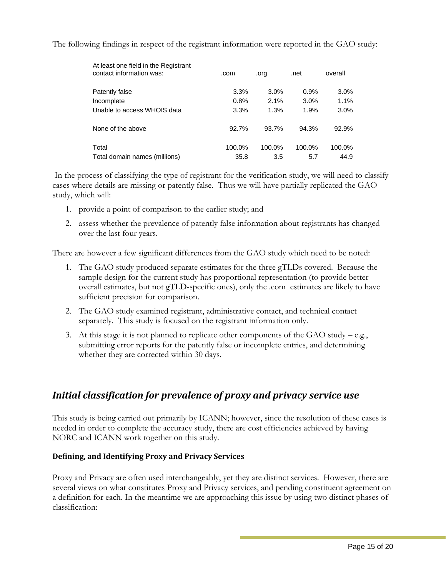<span id="page-16-0"></span>The following findings in respect of the registrant information were reported in the GAO study:

| At least one field in the Registrant<br>contact information was: | .com   | .org   | .net   | overall |
|------------------------------------------------------------------|--------|--------|--------|---------|
| Patently false                                                   | 3.3%   | 3.0%   | 0.9%   | $3.0\%$ |
| Incomplete                                                       | 0.8%   | 2.1%   | 3.0%   | 1.1%    |
| Unable to access WHOIS data                                      | 3.3%   | 1.3%   | 1.9%   | 3.0%    |
| None of the above                                                | 92.7%  | 93.7%  | 94.3%  | 92.9%   |
| Total                                                            | 100.0% | 100.0% | 100.0% | 100.0%  |
| Total domain names (millions)                                    | 35.8   | 3.5    | 5.7    | 44.9    |

 In the process of classifying the type of registrant for the verification study, we will need to classify cases where details are missing or patently false. Thus we will have partially replicated the GAO study, which will:

- 1. provide a point of comparison to the earlier study; and
- 2. assess whether the prevalence of patently false information about registrants has changed over the last four years.

There are however a few significant differences from the GAO study which need to be noted:

- 1. The GAO study produced separate estimates for the three gTLDs covered. Because the sample design for the current study has proportional representation (to provide better overall estimates, but not gTLD-specific ones), only the .com estimates are likely to have sufficient precision for comparison.
- 2. The GAO study examined registrant, administrative contact, and technical contact separately. This study is focused on the registrant information only.
- 3. At this stage it is not planned to replicate other components of the GAO study e.g., submitting error reports for the patently false or incomplete entries, and determining whether they are corrected within 30 days.

## *Initial classification for prevalence of proxy and privacy service use*

This study is being carried out primarily by ICANN; however, since the resolution of these cases is needed in order to complete the accuracy study, there are cost efficiencies achieved by having NORC and ICANN work together on this study.

#### **Defining, and Identifying Proxy and Privacy Services**

Proxy and Privacy are often used interchangeably, yet they are distinct services. However, there are several views on what constitutes Proxy and Privacy services, and pending constituent agreement on a definition for each. In the meantime we are approaching this issue by using two distinct phases of classification: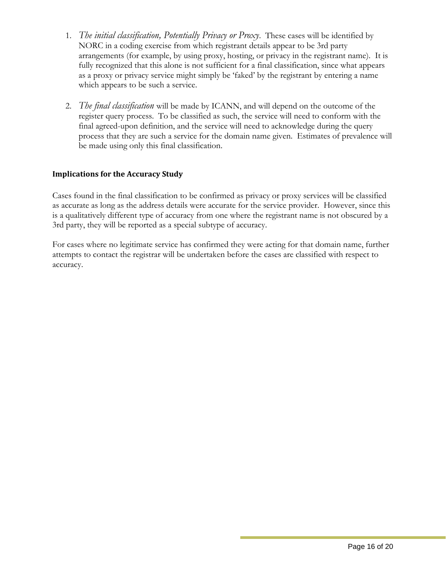- <span id="page-17-0"></span>1. *The initial classification, Potentially Privacy or Proxy*. These cases will be identified by NORC in a coding exercise from which registrant details appear to be 3rd party arrangements (for example, by using proxy, hosting, or privacy in the registrant name). It is fully recognized that this alone is not sufficient for a final classification, since what appears as a proxy or privacy service might simply be 'faked' by the registrant by entering a name which appears to be such a service.
- 2. *The final classification* will be made by ICANN, and will depend on the outcome of the register query process. To be classified as such, the service will need to conform with the final agreed-upon definition, and the service will need to acknowledge during the query process that they are such a service for the domain name given. Estimates of prevalence will be made using only this final classification.

#### **Implications for the Accuracy Study**

Cases found in the final classification to be confirmed as privacy or proxy services will be classified as accurate as long as the address details were accurate for the service provider. However, since this is a qualitatively different type of accuracy from one where the registrant name is not obscured by a 3rd party, they will be reported as a special subtype of accuracy.

For cases where no legitimate service has confirmed they were acting for that domain name, further attempts to contact the registrar will be undertaken before the cases are classified with respect to accuracy.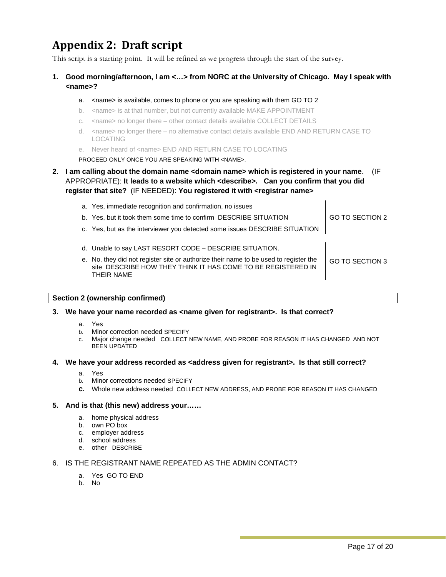## <span id="page-18-0"></span>**Appendix 2: Draft script**

This script is a starting point. It will be refined as we progress through the start of the survey.

#### **1. Good morning/afternoon, I am <…> from NORC at the University of Chicago. May I speak with <name>?**

#### a. <name> is available, comes to phone or you are speaking with them GO TO 2

- b. <name> is at that number, but not currently available MAKE APPOINTMENT
- c. <name> no longer there other contact details available COLLECT DETAILS
- d. <name> no longer there no alternative contact details available END AND RETURN CASE TO LOCATING
- e. Never heard of <name> END AND RETURN CASE TO LOCATING

PROCEED ONLY ONCE YOU ARE SPEAKING WITH <NAME>.

#### **2. I am calling about the domain name <domain name> which is registered in your name**. (IF APPROPRIATE): **It leads to a website which <describe>. Can you confirm that you did register that site?** (IF NEEDED): **You registered it with <registrar name>**

| a. Yes, immediate recognition and confirmation, no issues<br>b. Yes, but it took them some time to confirm DESCRIBE SITUATION                                      | GO TO SECTION 2 |
|--------------------------------------------------------------------------------------------------------------------------------------------------------------------|-----------------|
| c. Yes, but as the interviewer you detected some issues DESCRIBE SITUATION                                                                                         |                 |
| d. Unable to say LAST RESORT CODE – DESCRIBE SITUATION.                                                                                                            |                 |
| e. No, they did not register site or authorize their name to be used to register the<br>site DESCRIBE HOW THEY THINK IT HAS COME TO BE REGISTERED IN<br>THEIR NAME | GO TO SECTION 3 |

#### **Section 2 (ownership confirmed)**

#### **3. We have your name recorded as <name given for registrant>. Is that correct?**

- a. Yes
- b. Minor correction needed SPECIFY
- c. Major change needed COLLECT NEW NAME, AND PROBE FOR REASON IT HAS CHANGED AND NOT BEEN UPDATED

#### **4. We have your address recorded as <address given for registrant>. Is that still correct?**

- a. Yes
- b. Minor corrections needed SPECIFY
- **c.** Whole new address needed COLLECT NEW ADDRESS, AND PROBE FOR REASON IT HAS CHANGED

#### **5. And is that (this new) address your……**

- a. home physical address
- b. own PO box
- c. employer address
- d. school address
- e. other DESCRIBE

#### 6. IS THE REGISTRANT NAME REPEATED AS THE ADMIN CONTACT?

- a. Yes GO TO END
- b. No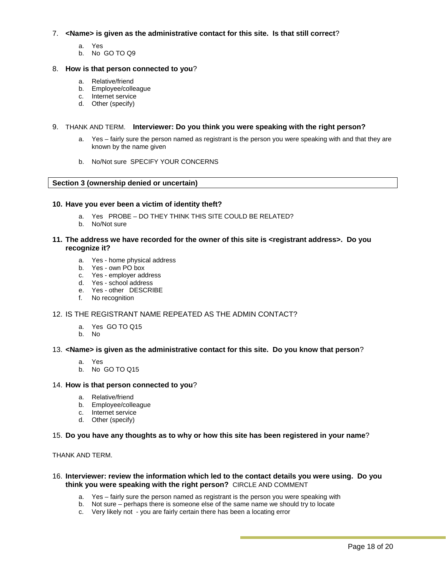#### 7. **<Name> is given as the administrative contact for this site. Is that still correct**?

- a. Yes
- b. No GO TO Q9

#### 8. **How is that person connected to you**?

- a. Relative/friend
- b. Employee/colleague
- c. Internet service
- d. Other (specify)

#### 9. THANK AND TERM. **Interviewer: Do you think you were speaking with the right person?**

- a. Yes fairly sure the person named as registrant is the person you were speaking with and that they are known by the name given
- b. No/Not sure SPECIFY YOUR CONCERNS

#### **Section 3 (ownership denied or uncertain)**

#### **10. Have you ever been a victim of identity theft?**

- a. Yes PROBE DO THEY THINK THIS SITE COULD BE RELATED?
- b. No/Not sure

#### **11. The address we have recorded for the owner of this site is <registrant address>. Do you recognize it?**

- a. Yes home physical address
- b. Yes own PO box
- c. Yes employer address
- d. Yes school address
- e. Yes other DESCRIBE
- f. No recognition

#### 12. IS THE REGISTRANT NAME REPEATED AS THE ADMIN CONTACT?

- a. Yes GO TO Q15
- b. No

#### 13. **<Name> is given as the administrative contact for this site. Do you know that person**?

- a. Yes
- b. No GO TO Q15

#### 14. **How is that person connected to you**?

- a. Relative/friend
- b. Employee/colleague
- c. Internet service
- d. Other (specify)

#### 15. **Do you have any thoughts as to why or how this site has been registered in your name**?

#### THANK AND TERM.

#### 16. **Interviewer: review the information which led to the contact details you were using. Do you think you were speaking with the right person?** CIRCLE AND COMMENT

- a. Yes fairly sure the person named as registrant is the person you were speaking with
- b. Not sure perhaps there is someone else of the same name we should try to locate
- c. Very likely not you are fairly certain there has been a locating error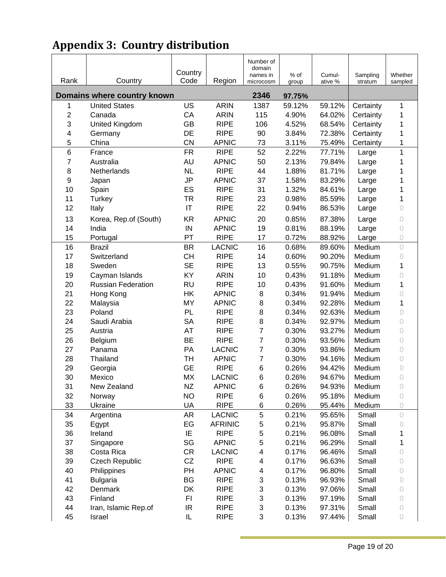## <span id="page-20-0"></span>**Appendix 3: Country distribution**

| Rank                    | Country                                             | Country<br>Code        | Region                      | Number of<br>domain<br>names in<br>microcosm | % of<br>group    | Cumul-<br>ative % | Sampling<br>stratum | Whether<br>sampled |
|-------------------------|-----------------------------------------------------|------------------------|-----------------------------|----------------------------------------------|------------------|-------------------|---------------------|--------------------|
|                         |                                                     |                        |                             | 2346                                         |                  |                   |                     |                    |
|                         | Domains where country known<br><b>United States</b> | US                     | <b>ARIN</b>                 | 1387                                         | 97.75%<br>59.12% | 59.12%            | Certainty           | 1                  |
| 1<br>$\mathbf 2$        | Canada                                              | CA                     | <b>ARIN</b>                 | 115                                          | 4.90%            | 64.02%            | Certainty           | 1                  |
| 3                       |                                                     | GB                     | <b>RIPE</b>                 |                                              |                  |                   |                     | 1                  |
| $\overline{\mathbf{4}}$ | United Kingdom                                      |                        | <b>RIPE</b>                 | 106                                          | 4.52%            | 68.54%            | Certainty           | 1                  |
| 5                       | Germany                                             | DE                     |                             | 90                                           | 3.84%            | 72.38%            | Certainty           |                    |
|                         | China                                               | CN<br><b>FR</b>        | <b>APNIC</b><br><b>RIPE</b> | 73                                           | 3.11%            | 75.49%            | Certainty           | 1<br>1             |
| 6                       | France                                              |                        |                             | 52                                           | 2.22%            | 77.71%            | Large               |                    |
| $\overline{7}$          | Australia                                           | AU                     | <b>APNIC</b><br><b>RIPE</b> | 50<br>44                                     | 2.13%            | 79.84%            | Large               | 1                  |
| 8                       | Netherlands                                         | <b>NL</b>              |                             |                                              | 1.88%            | 81.71%            | Large               |                    |
| $\boldsymbol{9}$        | Japan                                               | <b>JP</b>              | <b>APNIC</b><br><b>RIPE</b> | 37                                           | 1.58%            | 83.29%            | Large               | 1                  |
| 10                      | Spain                                               | ES                     |                             | 31                                           | 1.32%            | 84.61%            | Large               | 1                  |
| 11                      | <b>Turkey</b>                                       | <b>TR</b>              | <b>RIPE</b>                 | 23                                           | 0.98%            | 85.59%            | Large               | 1                  |
| 12                      | Italy                                               | $\mathsf{I}\mathsf{T}$ | <b>RIPE</b>                 | 22                                           | 0.94%            | 86.53%            | Large               | 0                  |
| 13                      | Korea, Rep.of (South)                               | <b>KR</b>              | <b>APNIC</b>                | 20                                           | 0.85%            | 87.38%            | Large               | 0                  |
| 14                      | India                                               | IN                     | <b>APNIC</b>                | 19                                           | 0.81%            | 88.19%            | Large               | 0                  |
| 15                      | Portugal                                            | PT                     | <b>RIPE</b>                 | 17                                           | 0.72%            | 88.92%            | Large               | 0                  |
| 16                      | <b>Brazil</b>                                       | <b>BR</b>              | <b>LACNIC</b>               | 16                                           | 0.68%            | 89.60%            | Medium              | $\circ$            |
| 17                      | Switzerland                                         | <b>CH</b>              | <b>RIPE</b>                 | 14                                           | 0.60%            | 90.20%            | Medium              | $\overline{O}$     |
| 18                      | Sweden                                              | <b>SE</b>              | <b>RIPE</b>                 | 13                                           | 0.55%            | 90.75%            | Medium              | 1                  |
| 19                      | Cayman Islands                                      | KY                     | <b>ARIN</b>                 | 10                                           | 0.43%            | 91.18%            | Medium              | $\circ$            |
| 20                      | <b>Russian Federation</b>                           | <b>RU</b>              | <b>RIPE</b>                 | 10                                           | 0.43%            | 91.60%            | Medium              | 1                  |
| 21                      | Hong Kong                                           | HK                     | <b>APNIC</b>                | 8                                            | 0.34%            | 91.94%            | Medium              | 0                  |
| 22                      | Malaysia                                            | <b>MY</b>              | <b>APNIC</b>                | $\bf8$                                       | 0.34%            | 92.28%            | Medium              | 1                  |
| 23                      | Poland                                              | PL                     | <b>RIPE</b>                 | $\bf 8$                                      | 0.34%            | 92.63%            | Medium              | 0                  |
| 24                      | Saudi Arabia                                        | <b>SA</b>              | <b>RIPE</b>                 | $\bf 8$                                      | 0.34%            | 92.97%            | Medium              | 0                  |
| 25                      | Austria                                             | AT                     | <b>RIPE</b>                 | $\overline{7}$                               | 0.30%            | 93.27%            | Medium              | 0                  |
| 26                      | Belgium                                             | <b>BE</b>              | <b>RIPE</b>                 | $\overline{7}$                               | 0.30%            | 93.56%            | Medium              | 0                  |
| 27                      | Panama                                              | PA                     | <b>LACNIC</b>               | $\overline{7}$                               | 0.30%            | 93.86%            | Medium              | 0                  |
| 28                      | Thailand                                            | TH                     | <b>APNIC</b>                | $\overline{7}$                               | 0.30%            | 94.16%            | Medium              | 0                  |
| 29                      | Georgia                                             | <b>GE</b>              | <b>RIPE</b>                 | 6                                            | 0.26%            | 94.42%            | Medium              | 0                  |
| 30                      | Mexico                                              | MX                     | <b>LACNIC</b>               | 6                                            | 0.26%            | 94.67%            | Medium              | $\circ$            |
| 31                      | New Zealand                                         | <b>NZ</b>              | <b>APNIC</b>                | 6                                            | 0.26%            | 94.93%            | Medium              | 0                  |
| 32                      | Norway                                              | <b>NO</b>              | <b>RIPE</b>                 | 6                                            | 0.26%            | 95.18%            | Medium              | 0                  |
| 33                      | Ukraine                                             | UA                     | <b>RIPE</b>                 | 6                                            | 0.26%            | 95.44%            | Medium              | 0                  |
| 34                      | Argentina                                           | <b>AR</b>              | <b>LACNIC</b>               | $\mathbf 5$                                  | 0.21%            | 95.65%            | Small               | 0                  |
| 35                      | Egypt                                               | EG                     | <b>AFRINIC</b>              | $\mathbf 5$                                  | 0.21%            | 95.87%            | Small               | 0                  |
| 36                      | Ireland                                             | IE                     | <b>RIPE</b>                 | $\mathbf 5$                                  | 0.21%            | 96.08%            | Small               | 1                  |
| 37                      | Singapore                                           | SG                     | <b>APNIC</b>                | $\mathbf 5$                                  | 0.21%            | 96.29%            | Small               | 1                  |
| 38                      | Costa Rica                                          | CR                     | <b>LACNIC</b>               | $\overline{\mathbf{4}}$                      | 0.17%            | 96.46%            | Small               | 0                  |
| 39                      | <b>Czech Republic</b>                               | CZ                     | <b>RIPE</b>                 | $\overline{\mathbf{4}}$                      | 0.17%            | 96.63%            | Small               | 0                  |
| 40                      | Philippines                                         | PH                     | <b>APNIC</b>                | 4                                            | 0.17%            | 96.80%            | Small               | 0                  |
| 41                      | <b>Bulgaria</b>                                     | BG                     | <b>RIPE</b>                 | 3                                            | 0.13%            | 96.93%            | Small               | 0                  |
| 42                      | Denmark                                             | DK                     | <b>RIPE</b>                 | $\ensuremath{\mathsf{3}}$                    | 0.13%            | 97.06%            | Small               | 0                  |
| 43                      | Finland                                             | FI                     | <b>RIPE</b>                 | $\ensuremath{\mathsf{3}}$                    | 0.13%            | 97.19%            | Small               | 0                  |
| 44                      | Iran, Islamic Rep.of                                | IR                     | <b>RIPE</b>                 | $\ensuremath{\mathsf{3}}$                    | 0.13%            | 97.31%            | Small               | 0                  |
| 45                      | Israel                                              | IL                     | <b>RIPE</b>                 | 3                                            | 0.13%            | 97.44%            | Small               | 0                  |